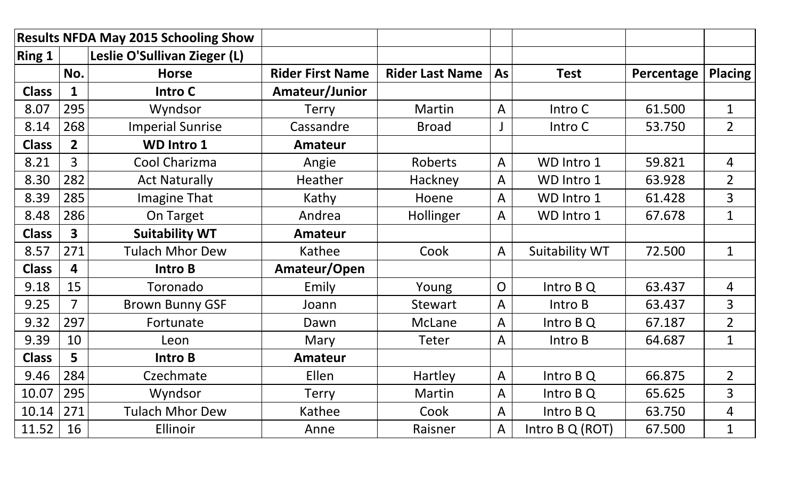| <b>Results NFDA May 2015 Schooling Show</b> |                         |                              |                         |                        |                |                       |            |                |
|---------------------------------------------|-------------------------|------------------------------|-------------------------|------------------------|----------------|-----------------------|------------|----------------|
| <b>Ring 1</b>                               |                         | Leslie O'Sullivan Zieger (L) |                         |                        |                |                       |            |                |
|                                             | No.                     | <b>Horse</b>                 | <b>Rider First Name</b> | <b>Rider Last Name</b> | As             | <b>Test</b>           | Percentage | <b>Placing</b> |
| <b>Class</b>                                | 1                       | Intro C                      | Amateur/Junior          |                        |                |                       |            |                |
| 8.07                                        | 295                     | Wyndsor                      | <b>Terry</b>            | Martin                 | $\mathsf{A}$   | Intro C               | 61.500     | $\mathbf{1}$   |
| 8.14                                        | 268                     | <b>Imperial Sunrise</b>      | Cassandre               | <b>Broad</b>           |                | Intro C               | 53.750     | $\overline{2}$ |
| <b>Class</b>                                | $\overline{2}$          | <b>WD Intro 1</b>            | <b>Amateur</b>          |                        |                |                       |            |                |
| 8.21                                        | $\overline{3}$          | Cool Charizma                | Angie                   | Roberts                | $\overline{A}$ | WD Intro 1            | 59.821     | $\overline{4}$ |
| 8.30                                        | 282                     | <b>Act Naturally</b>         | Heather                 | Hackney                | $\mathsf{A}$   | WD Intro 1            | 63.928     | $\overline{2}$ |
| 8.39                                        | 285                     | <b>Imagine That</b>          | Kathy                   | Hoene                  | A              | WD Intro 1            | 61.428     | 3              |
| 8.48                                        | 286                     | On Target                    | Andrea                  | Hollinger              | A              | WD Intro 1            | 67.678     | $\mathbf{1}$   |
| <b>Class</b>                                | $\overline{\mathbf{3}}$ | <b>Suitability WT</b>        | <b>Amateur</b>          |                        |                |                       |            |                |
| 8.57                                        | 271                     | <b>Tulach Mhor Dew</b>       | Kathee                  | Cook                   | $\mathsf{A}$   | <b>Suitability WT</b> | 72.500     | $\mathbf{1}$   |
| <b>Class</b>                                | 4                       | Intro B                      | Amateur/Open            |                        |                |                       |            |                |
| 9.18                                        | 15                      | Toronado                     | Emily                   | Young                  | $\overline{O}$ | Intro B Q             | 63.437     | 4              |
| 9.25                                        | $\overline{7}$          | <b>Brown Bunny GSF</b>       | Joann                   | <b>Stewart</b>         | $\mathsf{A}$   | Intro B               | 63.437     | 3              |
| 9.32                                        | 297                     | Fortunate                    | Dawn                    | McLane                 | A              | Intro B Q             | 67.187     | $\overline{2}$ |
| 9.39                                        | 10                      | Leon                         | Mary                    | <b>Teter</b>           | $\mathsf{A}$   | Intro B               | 64.687     | $\mathbf{1}$   |
| <b>Class</b>                                | 5                       | Intro B                      | <b>Amateur</b>          |                        |                |                       |            |                |
| 9.46                                        | 284                     | Czechmate                    | Ellen                   | Hartley                | $\mathsf{A}$   | Intro B Q             | 66.875     | $\overline{2}$ |
| 10.07                                       | 295                     | Wyndsor                      | <b>Terry</b>            | Martin                 | A              | Intro B Q             | 65.625     | $\overline{3}$ |
| 10.14                                       | 271                     | <b>Tulach Mhor Dew</b>       | Kathee                  | Cook                   | $\overline{A}$ | Intro B Q             | 63.750     | 4              |
| 11.52                                       | 16                      | Ellinoir                     | Anne                    | Raisner                | A              | Intro B Q (ROT)       | 67.500     | $\mathbf{1}$   |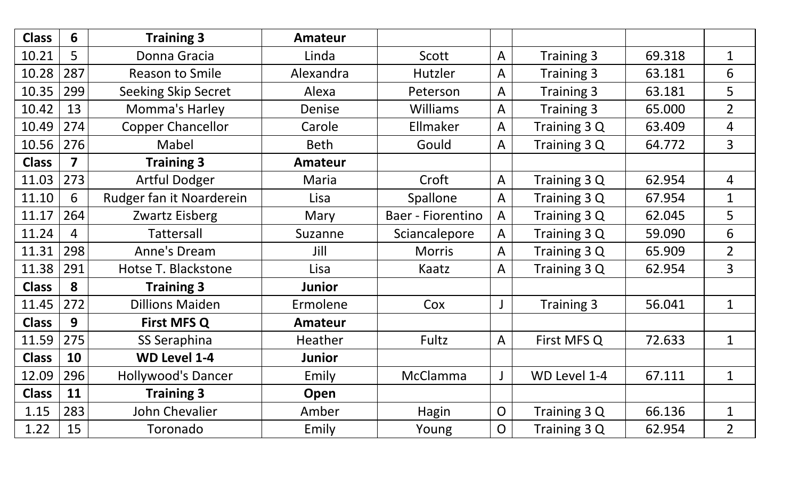| <b>Class</b> | 6   | <b>Training 3</b>          | <b>Amateur</b> |                   |                |                   |        |                |
|--------------|-----|----------------------------|----------------|-------------------|----------------|-------------------|--------|----------------|
| 10.21        | 5   | Donna Gracia               | Linda          | Scott             | $\mathsf{A}$   | <b>Training 3</b> | 69.318 | $\mathbf{1}$   |
| 10.28        | 287 | <b>Reason to Smile</b>     | Alexandra      | Hutzler           | A              | <b>Training 3</b> | 63.181 | 6              |
| 10.35        | 299 | <b>Seeking Skip Secret</b> | Alexa          | Peterson          | $\mathsf{A}$   | Training 3        | 63.181 | 5              |
| 10.42        | 13  | Momma's Harley             | Denise         | <b>Williams</b>   | $\mathsf{A}$   | Training 3        | 65.000 | $\overline{2}$ |
| 10.49        | 274 | <b>Copper Chancellor</b>   | Carole         | Ellmaker          | $\mathsf{A}$   | Training 3 Q      | 63.409 | $\overline{4}$ |
| 10.56        | 276 | Mabel                      | <b>Beth</b>    | Gould             | A              | Training 3 Q      | 64.772 | $\overline{3}$ |
| <b>Class</b> | 7   | <b>Training 3</b>          | <b>Amateur</b> |                   |                |                   |        |                |
| 11.03        | 273 | <b>Artful Dodger</b>       | Maria          | Croft             | $\mathsf{A}$   | Training 3 Q      | 62.954 | $\overline{4}$ |
| 11.10        | 6   | Rudger fan it Noarderein   | Lisa           | Spallone          | A              | Training 3 Q      | 67.954 | $\mathbf{1}$   |
| 11.17        | 264 | Zwartz Eisberg             | Mary           | Baer - Fiorentino | A              | Training 3 Q      | 62.045 | 5              |
| 11.24        | 4   | <b>Tattersall</b>          | Suzanne        | Sciancalepore     | $\mathsf{A}$   | Training 3 Q      | 59.090 | 6              |
| 11.31        | 298 | Anne's Dream               | Jill           | <b>Morris</b>     | $\mathsf{A}$   | Training 3 Q      | 65.909 | $\overline{2}$ |
| 11.38        | 291 | Hotse T. Blackstone        | Lisa           | Kaatz             | $\mathsf{A}$   | Training 3 Q      | 62.954 | $\overline{3}$ |
| <b>Class</b> | 8   | <b>Training 3</b>          | <b>Junior</b>  |                   |                |                   |        |                |
| 11.45        | 272 | <b>Dillions Maiden</b>     | Ermolene       | Cox               |                | Training 3        | 56.041 | $\mathbf{1}$   |
| <b>Class</b> | 9   | <b>First MFS Q</b>         | <b>Amateur</b> |                   |                |                   |        |                |
| 11.59        | 275 | SS Seraphina               | Heather        | Fultz             | $\mathsf{A}$   | First MFS Q       | 72.633 | $\mathbf{1}$   |
| <b>Class</b> | 10  | <b>WD Level 1-4</b>        | <b>Junior</b>  |                   |                |                   |        |                |
| 12.09        | 296 | <b>Hollywood's Dancer</b>  | Emily          | McClamma          |                | WD Level 1-4      | 67.111 | $\mathbf 1$    |
| <b>Class</b> | 11  | <b>Training 3</b>          | Open           |                   |                |                   |        |                |
| 1.15         | 283 | John Chevalier             | Amber          | Hagin             | $\overline{O}$ | Training 3 Q      | 66.136 | $\mathbf{1}$   |
| 1.22         | 15  | Toronado                   | Emily          | Young             | $\overline{O}$ | Training 3 Q      | 62.954 | $\overline{2}$ |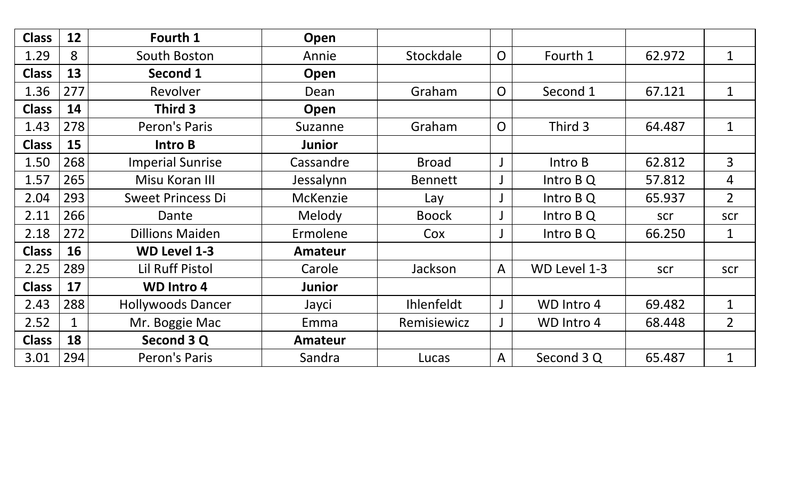| <b>Class</b> | 12  | Fourth 1                 | Open            |                   |                |              |        |                |
|--------------|-----|--------------------------|-----------------|-------------------|----------------|--------------|--------|----------------|
| 1.29         | 8   | South Boston             | Annie           | Stockdale         | $\overline{O}$ | Fourth 1     | 62.972 | $\mathbf{1}$   |
| <b>Class</b> | 13  | Second 1                 | Open            |                   |                |              |        |                |
| 1.36         | 277 | Revolver                 | Dean            | Graham            | $\overline{O}$ | Second 1     | 67.121 | $\mathbf{1}$   |
| <b>Class</b> | 14  | Third 3                  | Open            |                   |                |              |        |                |
| 1.43         | 278 | Peron's Paris            | Suzanne         | Graham            | $\overline{O}$ | Third 3      | 64.487 | $\mathbf{1}$   |
| <b>Class</b> | 15  | <b>Intro B</b>           | <b>Junior</b>   |                   |                |              |        |                |
| 1.50         | 268 | <b>Imperial Sunrise</b>  | Cassandre       | <b>Broad</b>      |                | Intro B      | 62.812 | $\overline{3}$ |
| 1.57         | 265 | Misu Koran III           | Jessalynn       | <b>Bennett</b>    |                | Intro B Q    | 57.812 | $\overline{4}$ |
| 2.04         | 293 | <b>Sweet Princess Di</b> | <b>McKenzie</b> | Lay               |                | Intro B Q    | 65.937 | $\overline{2}$ |
| 2.11         | 266 | Dante                    | Melody          | <b>Boock</b>      |                | Intro $BQ$   | scr    | scr            |
| 2.18         | 272 | <b>Dillions Maiden</b>   | Ermolene        | Cox               |                | Intro B Q    | 66.250 | $\mathbf{1}$   |
| <b>Class</b> | 16  | <b>WD Level 1-3</b>      | <b>Amateur</b>  |                   |                |              |        |                |
| 2.25         | 289 | <b>Lil Ruff Pistol</b>   | Carole          | Jackson           | $\mathsf{A}$   | WD Level 1-3 | scr    | scr            |
| <b>Class</b> | 17  | <b>WD Intro 4</b>        | <b>Junior</b>   |                   |                |              |        |                |
| 2.43         | 288 | <b>Hollywoods Dancer</b> | Jayci           | <b>Ihlenfeldt</b> |                | WD Intro 4   | 69.482 | $\mathbf 1$    |
| 2.52         | 1   | Mr. Boggie Mac           | Emma            | Remisiewicz       |                | WD Intro 4   | 68.448 | $\overline{2}$ |
| <b>Class</b> | 18  | Second 3 Q               | <b>Amateur</b>  |                   |                |              |        |                |
| 3.01         | 294 | Peron's Paris            | Sandra          | Lucas             | A              | Second 3 Q   | 65.487 | $\mathbf{1}$   |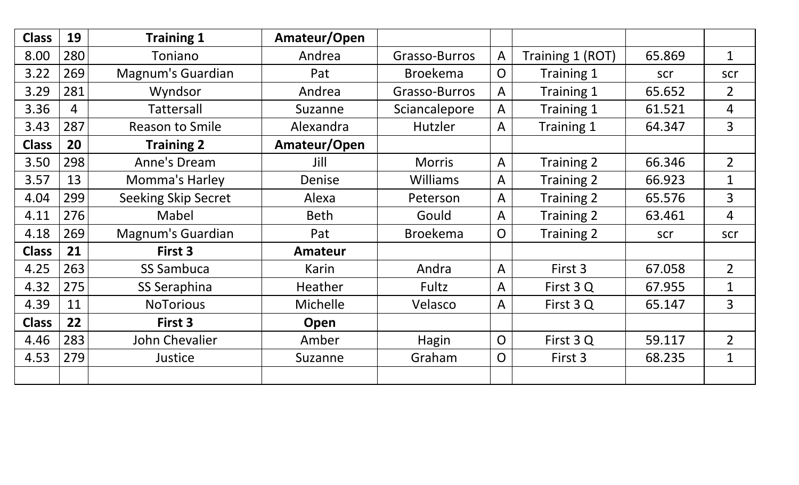| <b>Class</b> | 19  | <b>Training 1</b>          | Amateur/Open    |                 |                |                   |        |                |
|--------------|-----|----------------------------|-----------------|-----------------|----------------|-------------------|--------|----------------|
| 8.00         | 280 | Toniano                    | Andrea          | Grasso-Burros   | $\mathsf{A}$   | Training 1 (ROT)  | 65.869 | $\mathbf{1}$   |
| 3.22         | 269 | <b>Magnum's Guardian</b>   | Pat             | <b>Broekema</b> | $\overline{O}$ | Training 1        | scr    | scr            |
| 3.29         | 281 | Wyndsor                    | Andrea          | Grasso-Burros   | $\mathsf{A}$   | Training 1        | 65.652 | $\overline{2}$ |
| 3.36         | 4   | <b>Tattersall</b>          | Suzanne         | Sciancalepore   | A              | Training 1        | 61.521 | 4              |
| 3.43         | 287 | <b>Reason to Smile</b>     | Alexandra       | Hutzler         | $\mathsf{A}$   | Training 1        | 64.347 | $\overline{3}$ |
| <b>Class</b> | 20  | <b>Training 2</b>          | Amateur/Open    |                 |                |                   |        |                |
| 3.50         | 298 | Anne's Dream               | Jill            | <b>Morris</b>   | $\mathsf{A}$   | Training 2        | 66.346 | $\overline{2}$ |
| 3.57         | 13  | <b>Momma's Harley</b>      | Denise          | <b>Williams</b> | $\mathsf{A}$   | <b>Training 2</b> | 66.923 | $\mathbf{1}$   |
| 4.04         | 299 | <b>Seeking Skip Secret</b> | Alexa           | Peterson        | $\mathsf{A}$   | Training 2        | 65.576 | $\overline{3}$ |
| 4.11         | 276 | Mabel                      | <b>Beth</b>     | Gould           | $\mathsf{A}$   | Training 2        | 63.461 | 4              |
| 4.18         | 269 | <b>Magnum's Guardian</b>   | Pat             | <b>Broekema</b> | $\overline{O}$ | Training 2        | scr    | scr            |
| <b>Class</b> | 21  | First 3                    | <b>Amateur</b>  |                 |                |                   |        |                |
| 4.25         | 263 | <b>SS Sambuca</b>          | Karin           | Andra           | $\mathsf{A}$   | First 3           | 67.058 | $\overline{2}$ |
| 4.32         | 275 | SS Seraphina               | Heather         | Fultz           | $\mathsf{A}$   | First 3 Q         | 67.955 | $\mathbf{1}$   |
| 4.39         | 11  | <b>NoTorious</b>           | <b>Michelle</b> | Velasco         | $\mathsf{A}$   | First 3 Q         | 65.147 | $\overline{3}$ |
| <b>Class</b> | 22  | First 3                    | Open            |                 |                |                   |        |                |
| 4.46         | 283 | John Chevalier             | Amber           | Hagin           | $\overline{O}$ | First 3 Q         | 59.117 | $\overline{2}$ |
| 4.53         | 279 | Justice                    | Suzanne         | Graham          | $\overline{O}$ | First 3           | 68.235 | $\mathbf{1}$   |
|              |     |                            |                 |                 |                |                   |        |                |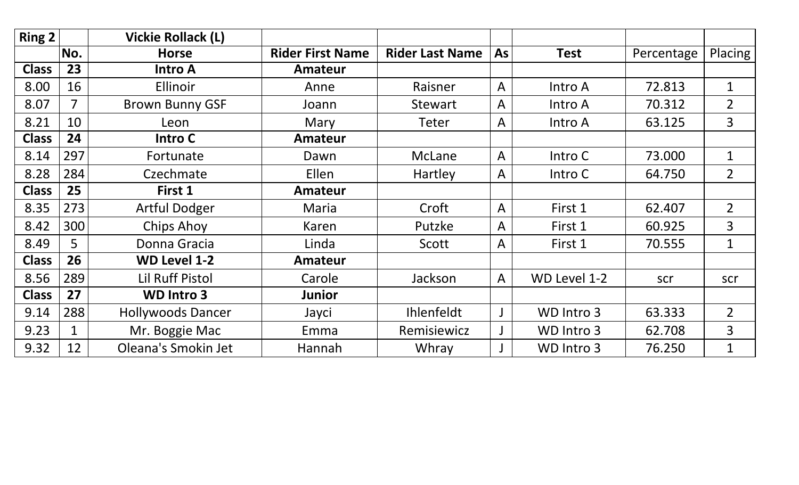| Ring 2       |     | <b>Vickie Rollack (L)</b> |                         |                        |              |              |            |                |
|--------------|-----|---------------------------|-------------------------|------------------------|--------------|--------------|------------|----------------|
|              | No. | <b>Horse</b>              | <b>Rider First Name</b> | <b>Rider Last Name</b> | <b>As</b>    | <b>Test</b>  | Percentage | Placing        |
| <b>Class</b> | 23  | <b>Intro A</b>            | <b>Amateur</b>          |                        |              |              |            |                |
| 8.00         | 16  | <b>Ellinoir</b>           | Anne                    | Raisner                | $\mathsf{A}$ | Intro A      | 72.813     | $\mathbf{1}$   |
| 8.07         | 7   | <b>Brown Bunny GSF</b>    | Joann                   | <b>Stewart</b>         | A            | Intro A      | 70.312     | $\overline{2}$ |
| 8.21         | 10  | Leon                      | Mary                    | <b>Teter</b>           | A            | Intro A      | 63.125     | $\overline{3}$ |
| <b>Class</b> | 24  | Intro C                   | <b>Amateur</b>          |                        |              |              |            |                |
| 8.14         | 297 | Fortunate                 | Dawn                    | McLane                 | $\mathsf{A}$ | Intro C      | 73.000     | $\mathbf{1}$   |
| 8.28         | 284 | Czechmate                 | Ellen                   | Hartley                | A            | Intro C      | 64.750     | $\overline{2}$ |
| <b>Class</b> | 25  | First 1                   | <b>Amateur</b>          |                        |              |              |            |                |
| 8.35         | 273 | <b>Artful Dodger</b>      | Maria                   | Croft                  | A            | First 1      | 62.407     | $\overline{2}$ |
| 8.42         | 300 | <b>Chips Ahoy</b>         | Karen                   | Putzke                 | A            | First 1      | 60.925     | $\overline{3}$ |
| 8.49         | 5   | Donna Gracia              | Linda                   | Scott                  | A            | First 1      | 70.555     | $\mathbf{1}$   |
| <b>Class</b> | 26  | <b>WD Level 1-2</b>       | <b>Amateur</b>          |                        |              |              |            |                |
| 8.56         | 289 | <b>Lil Ruff Pistol</b>    | Carole                  | Jackson                | A            | WD Level 1-2 | scr        | scr            |
| <b>Class</b> | 27  | <b>WD Intro 3</b>         | Junior                  |                        |              |              |            |                |
| 9.14         | 288 | <b>Hollywoods Dancer</b>  | Jayci                   | Ihlenfeldt             |              | WD Intro 3   | 63.333     | $2^{\circ}$    |
| 9.23         |     | Mr. Boggie Mac            | Emma                    | Remisiewicz            |              | WD Intro 3   | 62.708     | $\overline{3}$ |
| 9.32         | 12  | Oleana's Smokin Jet       | Hannah                  | Whray                  |              | WD Intro 3   | 76.250     | $\mathbf{1}$   |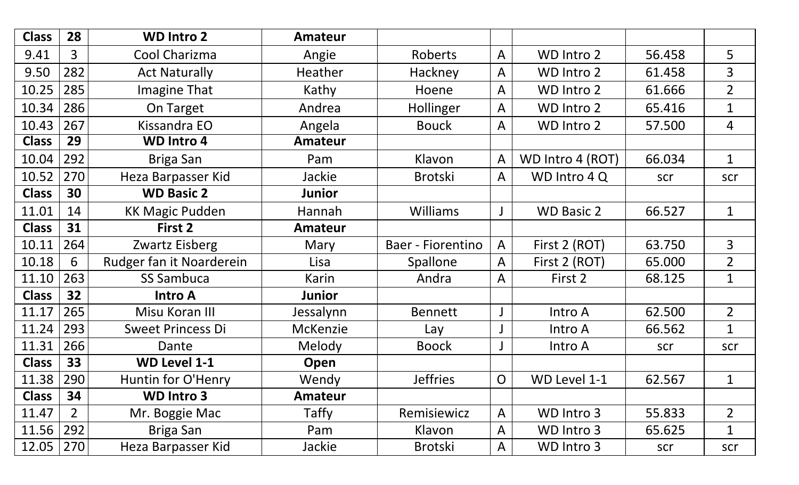| <b>Class</b> | 28             | <b>WD Intro 2</b>        | <b>Amateur</b>  |                   |              |                   |        |                |
|--------------|----------------|--------------------------|-----------------|-------------------|--------------|-------------------|--------|----------------|
| 9.41         | $\overline{3}$ | Cool Charizma            | Angie           | Roberts           | $\mathsf{A}$ | WD Intro 2        | 56.458 | 5              |
| 9.50         | 282            | <b>Act Naturally</b>     | Heather         | Hackney           | A            | <b>WD Intro 2</b> | 61.458 | 3              |
| 10.25        | 285            | <b>Imagine That</b>      | Kathy           | Hoene             | A            | WD Intro 2        | 61.666 | $\overline{2}$ |
| 10.34        | 286            | On Target                | Andrea          | Hollinger         | A            | <b>WD Intro 2</b> | 65.416 | $\mathbf{1}$   |
| 10.43        | 267            | Kissandra EO             | Angela          | <b>Bouck</b>      | A            | <b>WD Intro 2</b> | 57.500 | 4              |
| <b>Class</b> | 29             | <b>WD Intro 4</b>        | <b>Amateur</b>  |                   |              |                   |        |                |
| 10.04        | 292            | Briga San                | Pam             | Klavon            | A            | WD Intro 4 (ROT)  | 66.034 | $\mathbf{1}$   |
| 10.52        | 270            | Heza Barpasser Kid       | Jackie          | <b>Brotski</b>    | $\mathsf{A}$ | WD Intro 4 Q      | scr    | scr            |
| <b>Class</b> | 30             | <b>WD Basic 2</b>        | Junior          |                   |              |                   |        |                |
| 11.01        | 14             | <b>KK Magic Pudden</b>   | Hannah          | <b>Williams</b>   |              | <b>WD Basic 2</b> | 66.527 | $\mathbf{1}$   |
| <b>Class</b> | 31             | First 2                  | <b>Amateur</b>  |                   |              |                   |        |                |
| 10.11        | 264            | Zwartz Eisberg           | Mary            | Baer - Fiorentino | $\mathsf{A}$ | First 2 (ROT)     | 63.750 | $\overline{3}$ |
| 10.18        | 6              | Rudger fan it Noarderein | Lisa            | <b>Spallone</b>   | $\mathsf{A}$ | First 2 (ROT)     | 65.000 | $\overline{2}$ |
| 11.10        | 263            | <b>SS Sambuca</b>        | Karin           | Andra             | A            | First 2           | 68.125 | $\mathbf{1}$   |
| <b>Class</b> | 32             | <b>Intro A</b>           | Junior          |                   |              |                   |        |                |
| 11.17        | 265            | Misu Koran III           | Jessalynn       | <b>Bennett</b>    |              | Intro A           | 62.500 | $\overline{2}$ |
| 11.24        | 293            | <b>Sweet Princess Di</b> | <b>McKenzie</b> | Lay               |              | Intro A           | 66.562 | $\mathbf 1$    |
| 11.31        | 266            | Dante                    | Melody          | <b>Boock</b>      |              | Intro A           | scr    | scr            |
| <b>Class</b> | 33             | <b>WD Level 1-1</b>      | Open            |                   |              |                   |        |                |
| 11.38   290  |                | Huntin for O'Henry       | Wendy           | <b>Jeffries</b>   | $\Omega$     | WD Level 1-1      | 62.567 | 1              |
| <b>Class</b> | 34             | <b>WD Intro 3</b>        | Amateur         |                   |              |                   |        |                |
| 11.47        | 2 <sup>1</sup> | Mr. Boggie Mac           | Taffy           | Remisiewicz       | $\mathsf{A}$ | WD Intro 3        | 55.833 | $\overline{2}$ |
| 11.56        | 292            | Briga San                | Pam             | Klavon            | A            | WD Intro 3        | 65.625 | $\mathbf 1$    |
| 12.05        | 270            | Heza Barpasser Kid       | Jackie          | <b>Brotski</b>    | A            | WD Intro 3        | scr    | scr            |